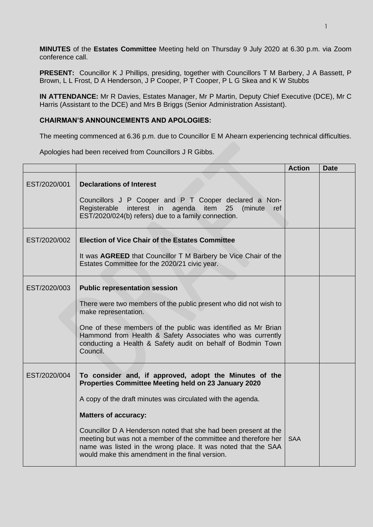**MINUTES** of the **Estates Committee** Meeting held on Thursday 9 July 2020 at 6.30 p.m. via Zoom conference call.

**PRESENT:** Councillor K J Phillips, presiding, together with Councillors T M Barbery, J A Bassett, P Brown, L L Frost, D A Henderson, J P Cooper, P T Cooper, P L G Skea and K W Stubbs

**IN ATTENDANCE:** Mr R Davies, Estates Manager, Mr P Martin, Deputy Chief Executive (DCE), Mr C Harris (Assistant to the DCE) and Mrs B Briggs (Senior Administration Assistant).

## **CHAIRMAN'S ANNOUNCEMENTS AND APOLOGIES:**

The meeting commenced at 6.36 p.m. due to Councillor E M Ahearn experiencing technical difficulties.

Apologies had been received from Councillors J R Gibbs.

|              |                                                                                                                                                                                                                                                        | <b>Action</b> | <b>Date</b> |
|--------------|--------------------------------------------------------------------------------------------------------------------------------------------------------------------------------------------------------------------------------------------------------|---------------|-------------|
| EST/2020/001 | <b>Declarations of Interest</b>                                                                                                                                                                                                                        |               |             |
|              | Councillors J P Cooper and P T Cooper declared a Non-<br>Registerable interest in agenda item 25<br>(minute<br><b>ref</b><br>EST/2020/024(b) refers) due to a family connection.                                                                       |               |             |
| EST/2020/002 | <b>Election of Vice Chair of the Estates Committee</b>                                                                                                                                                                                                 |               |             |
|              | It was <b>AGREED</b> that Councillor T M Barbery be Vice Chair of the<br>Estates Committee for the 2020/21 civic year.                                                                                                                                 |               |             |
| EST/2020/003 | <b>Public representation session</b>                                                                                                                                                                                                                   |               |             |
|              | There were two members of the public present who did not wish to<br>make representation.                                                                                                                                                               |               |             |
|              | One of these members of the public was identified as Mr Brian<br>Hammond from Health & Safety Associates who was currently<br>conducting a Health & Safety audit on behalf of Bodmin Town<br>Council.                                                  |               |             |
| EST/2020/004 | To consider and, if approved, adopt the Minutes of the<br>Properties Committee Meeting held on 23 January 2020                                                                                                                                         |               |             |
|              | A copy of the draft minutes was circulated with the agenda.                                                                                                                                                                                            |               |             |
|              | <b>Matters of accuracy:</b>                                                                                                                                                                                                                            |               |             |
|              | Councillor D A Henderson noted that she had been present at the<br>meeting but was not a member of the committee and therefore her<br>name was listed in the wrong place. It was noted that the SAA<br>would make this amendment in the final version. | <b>SAA</b>    |             |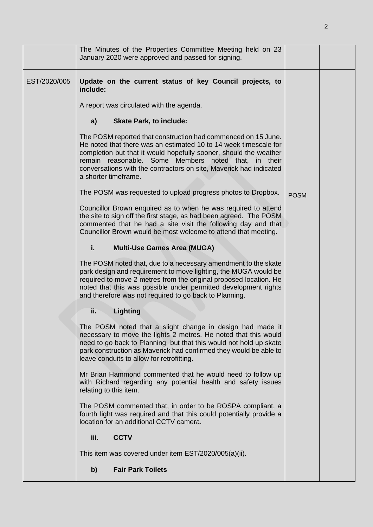|              | The Minutes of the Properties Committee Meeting held on 23<br>January 2020 were approved and passed for signing.                                                                                                                                                                                                                                                                                                                                                                                                                                                                                                                                                                                                                                                                                                                                                                                                                                                                                                                                                                                                                                                                                                                                                                                                                                                                                                                                                                                                                                                                                                                                                                                                                                           |             |  |
|--------------|------------------------------------------------------------------------------------------------------------------------------------------------------------------------------------------------------------------------------------------------------------------------------------------------------------------------------------------------------------------------------------------------------------------------------------------------------------------------------------------------------------------------------------------------------------------------------------------------------------------------------------------------------------------------------------------------------------------------------------------------------------------------------------------------------------------------------------------------------------------------------------------------------------------------------------------------------------------------------------------------------------------------------------------------------------------------------------------------------------------------------------------------------------------------------------------------------------------------------------------------------------------------------------------------------------------------------------------------------------------------------------------------------------------------------------------------------------------------------------------------------------------------------------------------------------------------------------------------------------------------------------------------------------------------------------------------------------------------------------------------------------|-------------|--|
| EST/2020/005 | Update on the current status of key Council projects, to<br>include:<br>A report was circulated with the agenda.<br>a)<br><b>Skate Park, to include:</b><br>The POSM reported that construction had commenced on 15 June.<br>He noted that there was an estimated 10 to 14 week timescale for<br>completion but that it would hopefully sooner, should the weather<br>remain reasonable. Some Members noted that, in their<br>conversations with the contractors on site, Maverick had indicated<br>a shorter timeframe.<br>The POSM was requested to upload progress photos to Dropbox.<br>Councillor Brown enquired as to when he was required to attend<br>the site to sign off the first stage, as had been agreed. The POSM<br>commented that he had a site visit the following day and that<br>Councillor Brown would be most welcome to attend that meeting.<br>i.<br><b>Multi-Use Games Area (MUGA)</b><br>The POSM noted that, due to a necessary amendment to the skate<br>park design and requirement to move lighting, the MUGA would be<br>required to move 2 metres from the original proposed location. He<br>noted that this was possible under permitted development rights<br>and therefore was not required to go back to Planning.<br>ii.<br>Lighting<br>The POSM noted that a slight change in design had made it<br>necessary to move the lights 2 metres. He noted that this would<br>need to go back to Planning, but that this would not hold up skate<br>park construction as Maverick had confirmed they would be able to<br>leave conduits to allow for retrofitting.<br>Mr Brian Hammond commented that he would need to follow up<br>with Richard regarding any potential health and safety issues<br>relating to this item. | <b>POSM</b> |  |
|              |                                                                                                                                                                                                                                                                                                                                                                                                                                                                                                                                                                                                                                                                                                                                                                                                                                                                                                                                                                                                                                                                                                                                                                                                                                                                                                                                                                                                                                                                                                                                                                                                                                                                                                                                                            |             |  |
|              | The POSM commented that, in order to be ROSPA compliant, a<br>fourth light was required and that this could potentially provide a<br>location for an additional CCTV camera.                                                                                                                                                                                                                                                                                                                                                                                                                                                                                                                                                                                                                                                                                                                                                                                                                                                                                                                                                                                                                                                                                                                                                                                                                                                                                                                                                                                                                                                                                                                                                                               |             |  |
|              | <b>CCTV</b><br>iii.                                                                                                                                                                                                                                                                                                                                                                                                                                                                                                                                                                                                                                                                                                                                                                                                                                                                                                                                                                                                                                                                                                                                                                                                                                                                                                                                                                                                                                                                                                                                                                                                                                                                                                                                        |             |  |
|              | This item was covered under item EST/2020/005(a)(ii).                                                                                                                                                                                                                                                                                                                                                                                                                                                                                                                                                                                                                                                                                                                                                                                                                                                                                                                                                                                                                                                                                                                                                                                                                                                                                                                                                                                                                                                                                                                                                                                                                                                                                                      |             |  |
|              | <b>Fair Park Toilets</b><br>b)                                                                                                                                                                                                                                                                                                                                                                                                                                                                                                                                                                                                                                                                                                                                                                                                                                                                                                                                                                                                                                                                                                                                                                                                                                                                                                                                                                                                                                                                                                                                                                                                                                                                                                                             |             |  |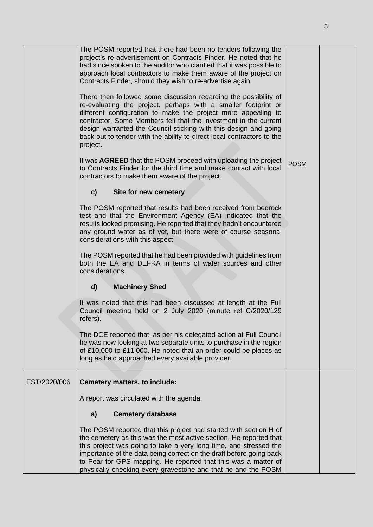|              | The POSM reported that there had been no tenders following the<br>project's re-advertisement on Contracts Finder. He noted that he<br>had since spoken to the auditor who clarified that it was possible to<br>approach local contractors to make them aware of the project on<br>Contracts Finder, should they wish to re-advertise again.                                                                                       |             |  |
|--------------|-----------------------------------------------------------------------------------------------------------------------------------------------------------------------------------------------------------------------------------------------------------------------------------------------------------------------------------------------------------------------------------------------------------------------------------|-------------|--|
|              | There then followed some discussion regarding the possibility of<br>re-evaluating the project, perhaps with a smaller footprint or<br>different configuration to make the project more appealing to<br>contractor. Some Members felt that the investment in the current<br>design warranted the Council sticking with this design and going<br>back out to tender with the ability to direct local contractors to the<br>project. |             |  |
|              | It was <b>AGREED</b> that the POSM proceed with uploading the project<br>to Contracts Finder for the third time and make contact with local<br>contractors to make them aware of the project.                                                                                                                                                                                                                                     | <b>POSM</b> |  |
|              | c)<br>Site for new cemetery                                                                                                                                                                                                                                                                                                                                                                                                       |             |  |
|              | The POSM reported that results had been received from bedrock<br>test and that the Environment Agency (EA) indicated that the<br>results looked promising. He reported that they hadn't encountered<br>any ground water as of yet, but there were of course seasonal<br>considerations with this aspect.                                                                                                                          |             |  |
|              | The POSM reported that he had been provided with guidelines from<br>both the EA and DEFRA in terms of water sources and other<br>considerations.                                                                                                                                                                                                                                                                                  |             |  |
|              | <b>Machinery Shed</b><br>d)                                                                                                                                                                                                                                                                                                                                                                                                       |             |  |
|              | It was noted that this had been discussed at length at the Full<br>Council meeting held on 2 July 2020 (minute ref C/2020/129<br>refers).                                                                                                                                                                                                                                                                                         |             |  |
|              | The DCE reported that, as per his delegated action at Full Council<br>he was now looking at two separate units to purchase in the region<br>of £10,000 to £11,000. He noted that an order could be places as<br>long as he'd approached every available provider.                                                                                                                                                                 |             |  |
| EST/2020/006 | Cemetery matters, to include:                                                                                                                                                                                                                                                                                                                                                                                                     |             |  |
|              | A report was circulated with the agenda.                                                                                                                                                                                                                                                                                                                                                                                          |             |  |
|              | <b>Cemetery database</b><br>a)                                                                                                                                                                                                                                                                                                                                                                                                    |             |  |
|              | The POSM reported that this project had started with section H of<br>the cemetery as this was the most active section. He reported that<br>this project was going to take a very long time, and stressed the<br>importance of the data being correct on the draft before going back<br>to Pear for GPS mapping. He reported that this was a matter of<br>physically checking every gravestone and that he and the POSM            |             |  |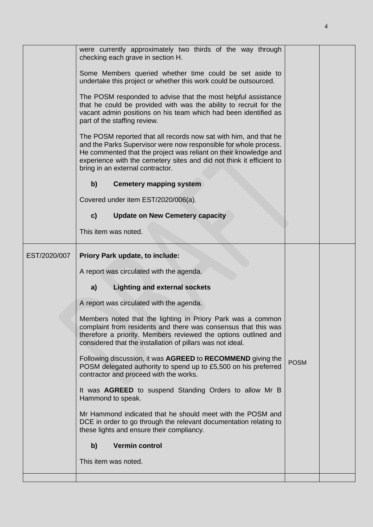|              | were currently approximately two thirds of the way through<br>checking each grave in section H.                                                                                                                                                                                                                      |             |  |
|--------------|----------------------------------------------------------------------------------------------------------------------------------------------------------------------------------------------------------------------------------------------------------------------------------------------------------------------|-------------|--|
|              | Some Members queried whether time could be set aside to<br>undertake this project or whether this work could be outsourced.                                                                                                                                                                                          |             |  |
|              | The POSM responded to advise that the most helpful assistance<br>that he could be provided with was the ability to recruit for the<br>vacant admin positions on his team which had been identified as<br>part of the staffing review.                                                                                |             |  |
|              | The POSM reported that all records now sat with him, and that he<br>and the Parks Supervisor were now responsible for whole process.<br>He commented that the project was reliant on their knowledge and<br>experience with the cemetery sites and did not think it efficient to<br>bring in an external contractor. |             |  |
|              | <b>Cemetery mapping system</b><br>b)                                                                                                                                                                                                                                                                                 |             |  |
|              | Covered under item EST/2020/006(a).                                                                                                                                                                                                                                                                                  |             |  |
|              | $\mathbf{c}$<br><b>Update on New Cemetery capacity</b>                                                                                                                                                                                                                                                               |             |  |
|              | This item was noted.                                                                                                                                                                                                                                                                                                 |             |  |
| EST/2020/007 | Priory Park update, to include:                                                                                                                                                                                                                                                                                      |             |  |
|              | A report was circulated with the agenda.                                                                                                                                                                                                                                                                             |             |  |
|              | <b>Lighting and external sockets</b><br>a)                                                                                                                                                                                                                                                                           |             |  |
|              | A report was circulated with the agenda.                                                                                                                                                                                                                                                                             |             |  |
|              | Members noted that the lighting in Priory Park was a common<br>complaint from residents and there was consensus that this was<br>therefore a priority. Members reviewed the options outlined and<br>considered that the installation of pillars was not ideal.                                                       |             |  |
|              | Following discussion, it was AGREED to RECOMMEND giving the<br>POSM delegated authority to spend up to £5,500 on his preferred<br>contractor and proceed with the works.                                                                                                                                             | <b>POSM</b> |  |
|              | It was AGREED to suspend Standing Orders to allow Mr B<br>Hammond to speak.                                                                                                                                                                                                                                          |             |  |
|              | Mr Hammond indicated that he should meet with the POSM and<br>DCE in order to go through the relevant documentation relating to<br>these lights and ensure their compliancy.                                                                                                                                         |             |  |
|              | <b>Vermin control</b><br>b)                                                                                                                                                                                                                                                                                          |             |  |
|              | This item was noted.                                                                                                                                                                                                                                                                                                 |             |  |
|              |                                                                                                                                                                                                                                                                                                                      |             |  |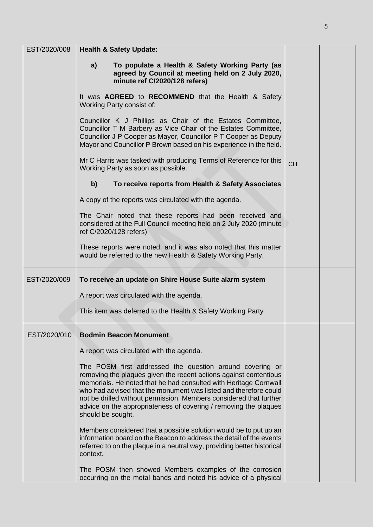| EST/2020/008 | <b>Health &amp; Safety Update:</b>                                                                                                                                                                                                                                                                                                                                                                                                   |           |  |
|--------------|--------------------------------------------------------------------------------------------------------------------------------------------------------------------------------------------------------------------------------------------------------------------------------------------------------------------------------------------------------------------------------------------------------------------------------------|-----------|--|
|              | To populate a Health & Safety Working Party (as<br>a)<br>agreed by Council at meeting held on 2 July 2020,<br>minute ref C/2020/128 refers)                                                                                                                                                                                                                                                                                          |           |  |
|              | It was <b>AGREED</b> to <b>RECOMMEND</b> that the Health & Safety<br>Working Party consist of:                                                                                                                                                                                                                                                                                                                                       |           |  |
|              | Councillor K J Phillips as Chair of the Estates Committee,<br>Councillor T M Barbery as Vice Chair of the Estates Committee,<br>Councillor J P Cooper as Mayor, Councillor P T Cooper as Deputy<br>Mayor and Councillor P Brown based on his experience in the field.                                                                                                                                                                |           |  |
|              | Mr C Harris was tasked with producing Terms of Reference for this<br>Working Party as soon as possible.                                                                                                                                                                                                                                                                                                                              | <b>CH</b> |  |
|              | To receive reports from Health & Safety Associates<br>b)                                                                                                                                                                                                                                                                                                                                                                             |           |  |
|              | A copy of the reports was circulated with the agenda.                                                                                                                                                                                                                                                                                                                                                                                |           |  |
|              | The Chair noted that these reports had been received and<br>considered at the Full Council meeting held on 2 July 2020 (minute<br>ref C/2020/128 refers)                                                                                                                                                                                                                                                                             |           |  |
|              | These reports were noted, and it was also noted that this matter<br>would be referred to the new Health & Safety Working Party.                                                                                                                                                                                                                                                                                                      |           |  |
| EST/2020/009 | To receive an update on Shire House Suite alarm system                                                                                                                                                                                                                                                                                                                                                                               |           |  |
|              | A report was circulated with the agenda.                                                                                                                                                                                                                                                                                                                                                                                             |           |  |
|              | This item was deferred to the Health & Safety Working Party                                                                                                                                                                                                                                                                                                                                                                          |           |  |
| EST/2020/010 | <b>Bodmin Beacon Monument</b>                                                                                                                                                                                                                                                                                                                                                                                                        |           |  |
|              | A report was circulated with the agenda.                                                                                                                                                                                                                                                                                                                                                                                             |           |  |
|              | The POSM first addressed the question around covering or<br>removing the plaques given the recent actions against contentious<br>memorials. He noted that he had consulted with Heritage Cornwall<br>who had advised that the monument was listed and therefore could<br>not be drilled without permission. Members considered that further<br>advice on the appropriateness of covering / removing the plaques<br>should be sought. |           |  |
|              | Members considered that a possible solution would be to put up an<br>information board on the Beacon to address the detail of the events<br>referred to on the plaque in a neutral way, providing better historical<br>context.                                                                                                                                                                                                      |           |  |
|              | The POSM then showed Members examples of the corrosion<br>occurring on the metal bands and noted his advice of a physical                                                                                                                                                                                                                                                                                                            |           |  |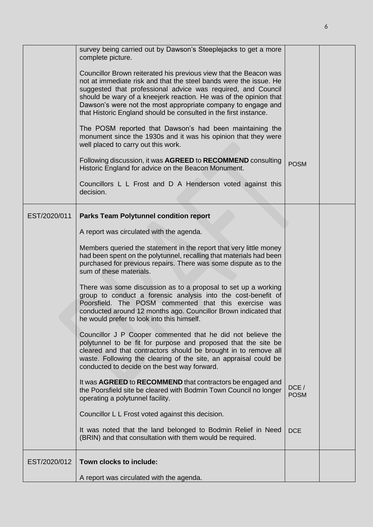|              | survey being carried out by Dawson's Steeplejacks to get a more<br>complete picture.                                                                                                                                                                                                                                                                                                                            |                     |  |
|--------------|-----------------------------------------------------------------------------------------------------------------------------------------------------------------------------------------------------------------------------------------------------------------------------------------------------------------------------------------------------------------------------------------------------------------|---------------------|--|
|              | Councillor Brown reiterated his previous view that the Beacon was<br>not at immediate risk and that the steel bands were the issue. He<br>suggested that professional advice was required, and Council<br>should be wary of a kneejerk reaction. He was of the opinion that<br>Dawson's were not the most appropriate company to engage and<br>that Historic England should be consulted in the first instance. |                     |  |
|              | The POSM reported that Dawson's had been maintaining the<br>monument since the 1930s and it was his opinion that they were<br>well placed to carry out this work.                                                                                                                                                                                                                                               |                     |  |
|              | Following discussion, it was AGREED to RECOMMEND consulting<br>Historic England for advice on the Beacon Monument.                                                                                                                                                                                                                                                                                              | <b>POSM</b>         |  |
|              | Councillors L L Frost and D A Henderson voted against this<br>decision.                                                                                                                                                                                                                                                                                                                                         |                     |  |
| EST/2020/011 | <b>Parks Team Polytunnel condition report</b>                                                                                                                                                                                                                                                                                                                                                                   |                     |  |
|              | A report was circulated with the agenda.                                                                                                                                                                                                                                                                                                                                                                        |                     |  |
|              | Members queried the statement in the report that very little money<br>had been spent on the polytunnel, recalling that materials had been<br>purchased for previous repairs. There was some dispute as to the<br>sum of these materials.                                                                                                                                                                        |                     |  |
|              | There was some discussion as to a proposal to set up a working<br>group to conduct a forensic analysis into the cost-benefit of<br>Poorsfield. The POSM commented that this exercise was<br>conducted around 12 months ago. Councillor Brown indicated that<br>he would prefer to look into this himself.                                                                                                       |                     |  |
|              | Councillor J P Cooper commented that he did not believe the<br>polytunnel to be fit for purpose and proposed that the site be<br>cleared and that contractors should be brought in to remove all<br>waste. Following the clearing of the site, an appraisal could be<br>conducted to decide on the best way forward.                                                                                            |                     |  |
|              | It was AGREED to RECOMMEND that contractors be engaged and<br>the Poorsfield site be cleared with Bodmin Town Council no longer<br>operating a polytunnel facility.                                                                                                                                                                                                                                             | DCE/<br><b>POSM</b> |  |
|              | Councillor L L Frost voted against this decision.                                                                                                                                                                                                                                                                                                                                                               |                     |  |
|              | It was noted that the land belonged to Bodmin Relief in Need<br>(BRIN) and that consultation with them would be required.                                                                                                                                                                                                                                                                                       | <b>DCE</b>          |  |
| EST/2020/012 | Town clocks to include:                                                                                                                                                                                                                                                                                                                                                                                         |                     |  |
|              | A report was circulated with the agenda.                                                                                                                                                                                                                                                                                                                                                                        |                     |  |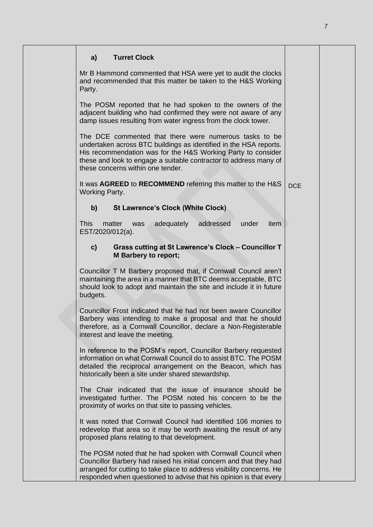| <b>Turret Clock</b><br>a)                                                                                                                                                                                                                                                                             |            |  |
|-------------------------------------------------------------------------------------------------------------------------------------------------------------------------------------------------------------------------------------------------------------------------------------------------------|------------|--|
| Mr B Hammond commented that HSA were yet to audit the clocks<br>and recommended that this matter be taken to the H&S Working<br>Party.                                                                                                                                                                |            |  |
| The POSM reported that he had spoken to the owners of the<br>adjacent building who had confirmed they were not aware of any<br>damp issues resulting from water ingress from the clock tower.                                                                                                         |            |  |
| The DCE commented that there were numerous tasks to be<br>undertaken across BTC buildings as identified in the HSA reports.<br>His recommendation was for the H&S Working Party to consider<br>these and look to engage a suitable contractor to address many of<br>these concerns within one tender. |            |  |
| It was AGREED to RECOMMEND referring this matter to the H&S<br><b>Working Party.</b>                                                                                                                                                                                                                  | <b>DCE</b> |  |
| $\mathbf{b}$<br><b>St Lawrence's Clock (White Clock)</b>                                                                                                                                                                                                                                              |            |  |
| <b>This</b><br>matter<br>adequately<br>addressed<br>under<br>item<br>was<br>EST/2020/012(a).                                                                                                                                                                                                          |            |  |
| Grass cutting at St Lawrence's Clock - Councillor T<br>$\mathbf{c}$<br><b>M</b> Barbery to report;                                                                                                                                                                                                    |            |  |
| Councillor T M Barbery proposed that, if Cornwall Council aren't<br>maintaining the area in a manner that BTC deems acceptable, BTC<br>should look to adopt and maintain the site and include it in future<br>budgets.                                                                                |            |  |
| Councillor Frost indicated that he had not been aware Councillor<br>Barbery was intending to make a proposal and that he should<br>therefore, as a Cornwall Councillor, declare a Non-Registerable<br>interest and leave the meeting.                                                                 |            |  |
| In reference to the POSM's report, Councillor Barbery requested<br>information on what Cornwall Council do to assist BTC. The POSM<br>detailed the reciprocal arrangement on the Beacon, which has<br>historically been a site under shared stewardship.                                              |            |  |
| The Chair indicated that the issue of insurance should be<br>investigated further. The POSM noted his concern to be the<br>proximity of works on that site to passing vehicles.                                                                                                                       |            |  |
| It was noted that Cornwall Council had identified 106 monies to<br>redevelop that area so it may be worth awaiting the result of any<br>proposed plans relating to that development.                                                                                                                  |            |  |
| The POSM noted that he had spoken with Cornwall Council when<br>Councillor Barbery had raised his initial concern and that they had<br>arranged for cutting to take place to address visibility concerns. He<br>responded when questioned to advise that his opinion is that every                    |            |  |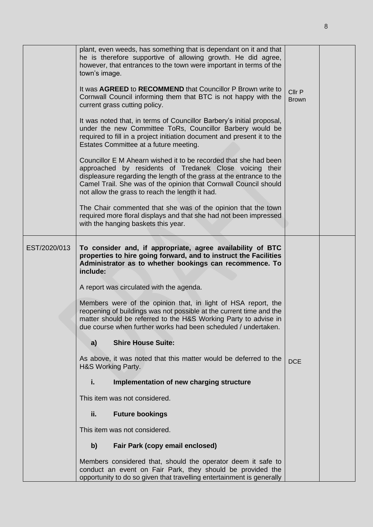|              | plant, even weeds, has something that is dependant on it and that<br>he is therefore supportive of allowing growth. He did agree,<br>however, that entrances to the town were important in terms of the<br>town's image.                                                                                                   |                        |  |
|--------------|----------------------------------------------------------------------------------------------------------------------------------------------------------------------------------------------------------------------------------------------------------------------------------------------------------------------------|------------------------|--|
|              | It was <b>AGREED</b> to <b>RECOMMEND</b> that Councillor P Brown write to<br>Cornwall Council informing them that BTC is not happy with the<br>current grass cutting policy.                                                                                                                                               | Cllr P<br><b>Brown</b> |  |
|              | It was noted that, in terms of Councillor Barbery's initial proposal,<br>under the new Committee ToRs, Councillor Barbery would be<br>required to fill in a project initiation document and present it to the<br>Estates Committee at a future meeting.                                                                    |                        |  |
|              | Councillor E M Ahearn wished it to be recorded that she had been<br>approached by residents of Tredanek Close voicing their<br>displeasure regarding the length of the grass at the entrance to the<br>Camel Trail. She was of the opinion that Cornwall Council should<br>not allow the grass to reach the length it had. |                        |  |
|              | The Chair commented that she was of the opinion that the town<br>required more floral displays and that she had not been impressed<br>with the hanging baskets this year.                                                                                                                                                  |                        |  |
| EST/2020/013 | To consider and, if appropriate, agree availability of BTC<br>properties to hire going forward, and to instruct the Facilities<br>Administrator as to whether bookings can recommence. To<br>include:                                                                                                                      |                        |  |
|              | A report was circulated with the agenda.                                                                                                                                                                                                                                                                                   |                        |  |
|              | Members were of the opinion that, in light of HSA report, the<br>reopening of buildings was not possible at the current time and the<br>matter should be referred to the H&S Working Party to advise in<br>due course when further works had been scheduled / undertaken.                                                  |                        |  |
|              | <b>Shire House Suite:</b><br>a)                                                                                                                                                                                                                                                                                            |                        |  |
|              | As above, it was noted that this matter would be deferred to the<br>H&S Working Party.                                                                                                                                                                                                                                     | <b>DCE</b>             |  |
|              | i.<br>Implementation of new charging structure                                                                                                                                                                                                                                                                             |                        |  |
|              | This item was not considered.                                                                                                                                                                                                                                                                                              |                        |  |
|              | <b>Future bookings</b><br>ii.                                                                                                                                                                                                                                                                                              |                        |  |
|              | This item was not considered.                                                                                                                                                                                                                                                                                              |                        |  |
|              | b)<br>Fair Park (copy email enclosed)                                                                                                                                                                                                                                                                                      |                        |  |
|              | Members considered that, should the operator deem it safe to<br>conduct an event on Fair Park, they should be provided the<br>opportunity to do so given that travelling entertainment is generally                                                                                                                        |                        |  |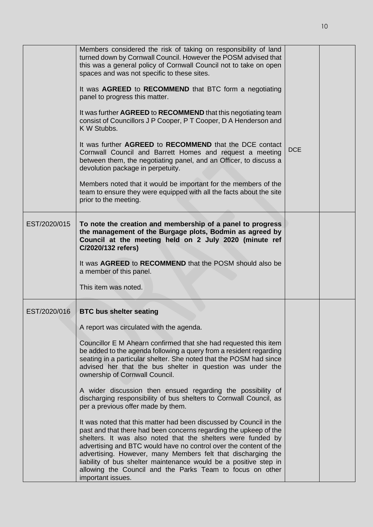|              | Members considered the risk of taking on responsibility of land<br>turned down by Cornwall Council. However the POSM advised that<br>this was a general policy of Cornwall Council not to take on open<br>spaces and was not specific to these sites.                                                                                                                                                                                                                                              |            |  |
|--------------|----------------------------------------------------------------------------------------------------------------------------------------------------------------------------------------------------------------------------------------------------------------------------------------------------------------------------------------------------------------------------------------------------------------------------------------------------------------------------------------------------|------------|--|
|              | It was AGREED to RECOMMEND that BTC form a negotiating<br>panel to progress this matter.                                                                                                                                                                                                                                                                                                                                                                                                           |            |  |
|              | It was further AGREED to RECOMMEND that this negotiating team<br>consist of Councillors J P Cooper, P T Cooper, D A Henderson and<br>K W Stubbs.                                                                                                                                                                                                                                                                                                                                                   |            |  |
|              | It was further <b>AGREED</b> to <b>RECOMMEND</b> that the DCE contact<br>Cornwall Council and Barrett Homes and request a meeting<br>between them, the negotiating panel, and an Officer, to discuss a<br>devolution package in perpetuity.                                                                                                                                                                                                                                                        | <b>DCE</b> |  |
|              | Members noted that it would be important for the members of the<br>team to ensure they were equipped with all the facts about the site<br>prior to the meeting.                                                                                                                                                                                                                                                                                                                                    |            |  |
| EST/2020/015 | To note the creation and membership of a panel to progress<br>the management of the Burgage plots, Bodmin as agreed by<br>Council at the meeting held on 2 July 2020 (minute ref<br>C/2020/132 refers)                                                                                                                                                                                                                                                                                             |            |  |
|              | It was AGREED to RECOMMEND that the POSM should also be<br>a member of this panel.                                                                                                                                                                                                                                                                                                                                                                                                                 |            |  |
|              | This item was noted.                                                                                                                                                                                                                                                                                                                                                                                                                                                                               |            |  |
| EST/2020/016 | <b>BTC bus shelter seating</b>                                                                                                                                                                                                                                                                                                                                                                                                                                                                     |            |  |
|              | A report was circulated with the agenda.                                                                                                                                                                                                                                                                                                                                                                                                                                                           |            |  |
|              | Councillor E M Ahearn confirmed that she had requested this item<br>be added to the agenda following a query from a resident regarding<br>seating in a particular shelter. She noted that the POSM had since<br>advised her that the bus shelter in question was under the<br>ownership of Cornwall Council.                                                                                                                                                                                       |            |  |
|              | A wider discussion then ensued regarding the possibility of<br>discharging responsibility of bus shelters to Cornwall Council, as<br>per a previous offer made by them.                                                                                                                                                                                                                                                                                                                            |            |  |
|              | It was noted that this matter had been discussed by Council in the<br>past and that there had been concerns regarding the upkeep of the<br>shelters. It was also noted that the shelters were funded by<br>advertising and BTC would have no control over the content of the<br>advertising. However, many Members felt that discharging the<br>liability of bus shelter maintenance would be a positive step in<br>allowing the Council and the Parks Team to focus on other<br>important issues. |            |  |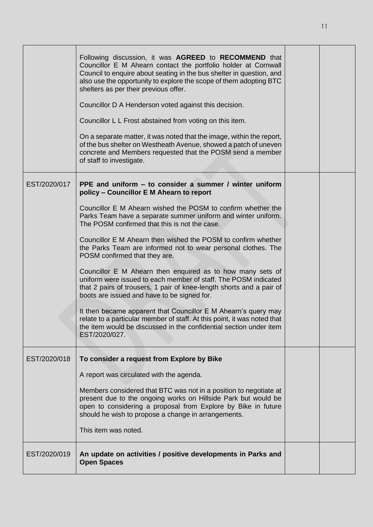|              | Following discussion, it was AGREED to RECOMMEND that<br>Councillor E M Ahearn contact the portfolio holder at Cornwall<br>Council to enquire about seating in the bus shelter in question, and<br>also use the opportunity to explore the scope of them adopting BTC<br>shelters as per their previous offer.<br>Councillor D A Henderson voted against this decision.<br>Councillor L L Frost abstained from voting on this item.<br>On a separate matter, it was noted that the image, within the report,<br>of the bus shelter on Westheath Avenue, showed a patch of uneven<br>concrete and Members requested that the POSM send a member<br>of staff to investigate.                                                                                                                                                                                                                                                                            |  |
|--------------|-------------------------------------------------------------------------------------------------------------------------------------------------------------------------------------------------------------------------------------------------------------------------------------------------------------------------------------------------------------------------------------------------------------------------------------------------------------------------------------------------------------------------------------------------------------------------------------------------------------------------------------------------------------------------------------------------------------------------------------------------------------------------------------------------------------------------------------------------------------------------------------------------------------------------------------------------------|--|
| EST/2020/017 | PPE and uniform – to consider a summer / winter uniform<br>policy - Councillor E M Ahearn to report<br>Councillor E M Ahearn wished the POSM to confirm whether the<br>Parks Team have a separate summer uniform and winter uniform.<br>The POSM confirmed that this is not the case.<br>Councillor E M Ahearn then wished the POSM to confirm whether<br>the Parks Team are informed not to wear personal clothes. The<br>POSM confirmed that they are.<br>Councillor E M Ahearn then enquired as to how many sets of<br>uniform were issued to each member of staff. The POSM indicated<br>that 2 pairs of trousers, 1 pair of knee-length shorts and a pair of<br>boots are issued and have to be signed for.<br>It then became apparent that Councillor E M Ahearn's query may<br>relate to a particular member of staff. At this point, it was noted that<br>the item would be discussed in the confidential section under item<br>EST/2020/027. |  |
| EST/2020/018 | To consider a request from Explore by Bike<br>A report was circulated with the agenda.<br>Members considered that BTC was not in a position to negotiate at<br>present due to the ongoing works on Hillside Park but would be<br>open to considering a proposal from Explore by Bike in future<br>should he wish to propose a change in arrangements.<br>This item was noted.                                                                                                                                                                                                                                                                                                                                                                                                                                                                                                                                                                         |  |
| EST/2020/019 | An update on activities / positive developments in Parks and<br><b>Open Spaces</b>                                                                                                                                                                                                                                                                                                                                                                                                                                                                                                                                                                                                                                                                                                                                                                                                                                                                    |  |